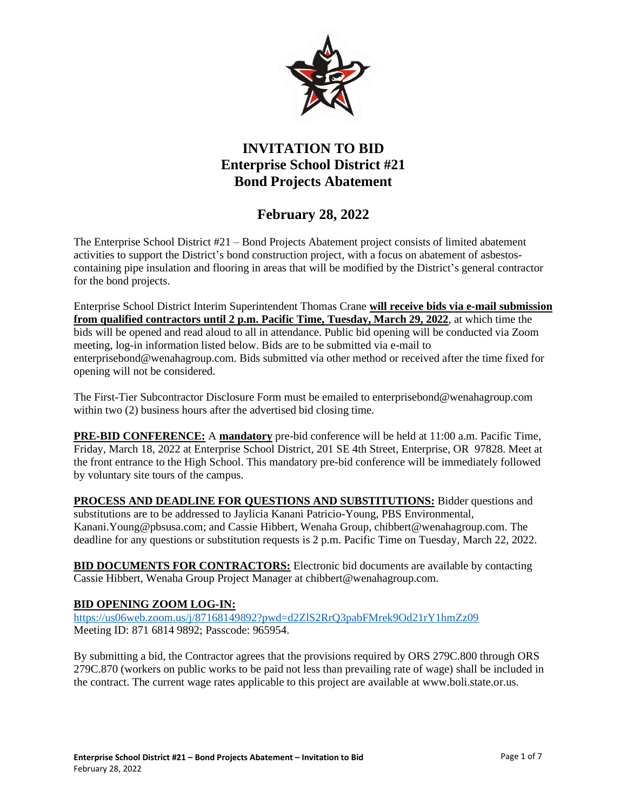

# **INVITATION TO BID Enterprise School District #21 Bond Projects Abatement**

# **February 28, 2022**

The Enterprise School District #21 – Bond Projects Abatement project consists of limited abatement activities to support the District's bond construction project, with a focus on abatement of asbestoscontaining pipe insulation and flooring in areas that will be modified by the District's general contractor for the bond projects.

Enterprise School District Interim Superintendent Thomas Crane **will receive bids via e-mail submission from qualified contractors until 2 p.m. Pacific Time, Tuesday, March 29, 2022**, at which time the bids will be opened and read aloud to all in attendance. Public bid opening will be conducted via Zoom meeting, log-in information listed below. Bids are to be submitted via e-mail to enterprisebond@wenahagroup.com. Bids submitted via other method or received after the time fixed for opening will not be considered.

The First-Tier Subcontractor Disclosure Form must be emailed to enterprisebond@wenahagroup.com within two (2) business hours after the advertised bid closing time.

**PRE-BID CONFERENCE:** A **mandatory** pre-bid conference will be held at 11:00 a.m. Pacific Time, Friday, March 18, 2022 at Enterprise School District, 201 SE 4th Street, Enterprise, OR 97828. Meet at the front entrance to the High School. This mandatory pre-bid conference will be immediately followed by voluntary site tours of the campus.

**PROCESS AND DEADLINE FOR QUESTIONS AND SUBSTITUTIONS:** Bidder questions and substitutions are to be addressed to Jaylicia Kanani Patricio-Young, PBS Environmental, Kanani.Young@pbsusa.com; and Cassie Hibbert, Wenaha Group, chibbert@wenahagroup.com. The deadline for any questions or substitution requests is 2 p.m. Pacific Time on Tuesday, March 22, 2022.

**BID DOCUMENTS FOR CONTRACTORS:** Electronic bid documents are available by contacting Cassie Hibbert, Wenaha Group Project Manager at chibbert@wenahagroup.com.

# **BID OPENING ZOOM LOG-IN:**

<https://us06web.zoom.us/j/87168149892?pwd=d2ZlS2RrQ3pabFMrek9Od21rY1hmZz09> Meeting ID: 871 6814 9892; Passcode: 965954.

By submitting a bid, the Contractor agrees that the provisions required by ORS 279C.800 through ORS 279C.870 (workers on public works to be paid not less than prevailing rate of wage) shall be included in the contract. The current wage rates applicable to this project are available at www.boli.state.or.us.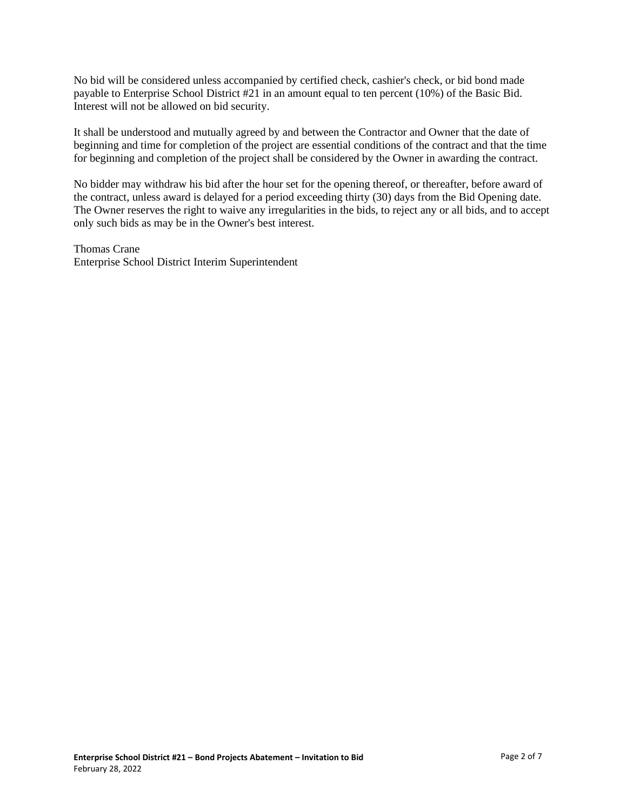No bid will be considered unless accompanied by certified check, cashier's check, or bid bond made payable to Enterprise School District #21 in an amount equal to ten percent (10%) of the Basic Bid. Interest will not be allowed on bid security.

It shall be understood and mutually agreed by and between the Contractor and Owner that the date of beginning and time for completion of the project are essential conditions of the contract and that the time for beginning and completion of the project shall be considered by the Owner in awarding the contract.

No bidder may withdraw his bid after the hour set for the opening thereof, or thereafter, before award of the contract, unless award is delayed for a period exceeding thirty (30) days from the Bid Opening date. The Owner reserves the right to waive any irregularities in the bids, to reject any or all bids, and to accept only such bids as may be in the Owner's best interest.

Thomas Crane Enterprise School District Interim Superintendent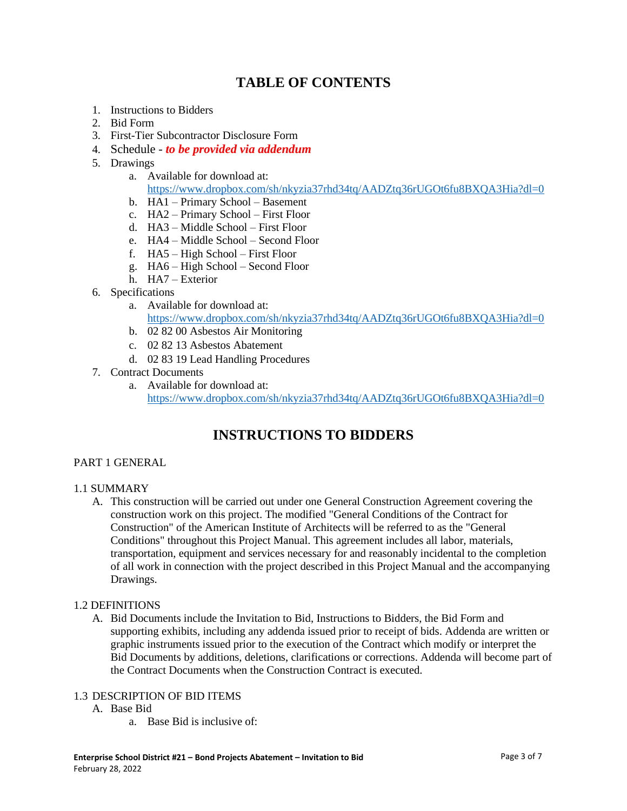# **TABLE OF CONTENTS**

- 1. Instructions to Bidders
- 2. Bid Form
- 3. First-Tier Subcontractor Disclosure Form
- 4. Schedule *to be provided via addendum*
- 5. Drawings
	- a. Available for download at: <https://www.dropbox.com/sh/nkyzia37rhd34tq/AADZtq36rUGOt6fu8BXQA3Hia?dl=0>
	- b. HA1 Primary School Basement
	- c. HA2 Primary School First Floor
	- d. HA3 Middle School First Floor
	- e. HA4 Middle School Second Floor
	- f. HA5 High School First Floor
	- g. HA6 High School Second Floor
	- h. HA7 Exterior
- 6. Specifications
	- a. Available for download at: <https://www.dropbox.com/sh/nkyzia37rhd34tq/AADZtq36rUGOt6fu8BXQA3Hia?dl=0>
	- b. 02 82 00 Asbestos Air Monitoring
	- c. 02 82 13 Asbestos Abatement
	- d. 02 83 19 Lead Handling Procedures
- 7. Contract Documents
	- a. Available for download at: <https://www.dropbox.com/sh/nkyzia37rhd34tq/AADZtq36rUGOt6fu8BXQA3Hia?dl=0>

# **INSTRUCTIONS TO BIDDERS**

# PART 1 GENERAL

# 1.1 SUMMARY

A. This construction will be carried out under one General Construction Agreement covering the construction work on this project. The modified "General Conditions of the Contract for Construction" of the American Institute of Architects will be referred to as the "General Conditions" throughout this Project Manual. This agreement includes all labor, materials, transportation, equipment and services necessary for and reasonably incidental to the completion of all work in connection with the project described in this Project Manual and the accompanying Drawings.

# 1.2 DEFINITIONS

A. Bid Documents include the Invitation to Bid, Instructions to Bidders, the Bid Form and supporting exhibits, including any addenda issued prior to receipt of bids. Addenda are written or graphic instruments issued prior to the execution of the Contract which modify or interpret the Bid Documents by additions, deletions, clarifications or corrections. Addenda will become part of the Contract Documents when the Construction Contract is executed.

# 1.3 DESCRIPTION OF BID ITEMS

- A. Base Bid
	- a. Base Bid is inclusive of: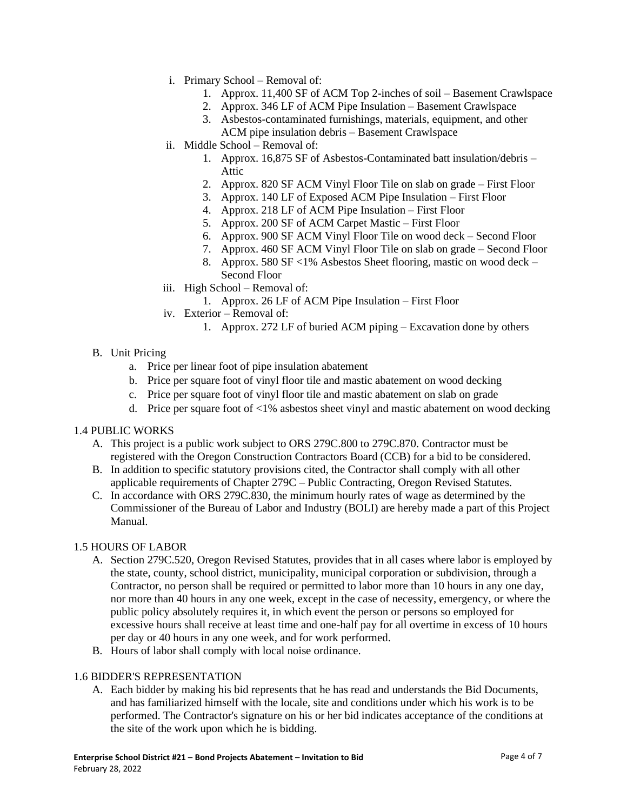- i. Primary School Removal of:
	- 1. Approx. 11,400 SF of ACM Top 2-inches of soil Basement Crawlspace
	- 2. Approx. 346 LF of ACM Pipe Insulation Basement Crawlspace
	- 3. Asbestos-contaminated furnishings, materials, equipment, and other ACM pipe insulation debris – Basement Crawlspace
- ii. Middle School Removal of:
	- 1. Approx. 16,875 SF of Asbestos-Contaminated batt insulation/debris Attic
	- 2. Approx. 820 SF ACM Vinyl Floor Tile on slab on grade First Floor
	- 3. Approx. 140 LF of Exposed ACM Pipe Insulation First Floor
	- 4. Approx. 218 LF of ACM Pipe Insulation First Floor
	- 5. Approx. 200 SF of ACM Carpet Mastic First Floor
	- 6. Approx. 900 SF ACM Vinyl Floor Tile on wood deck Second Floor
	- 7. Approx. 460 SF ACM Vinyl Floor Tile on slab on grade Second Floor
	- 8. Approx. 580 SF <1% Asbestos Sheet flooring, mastic on wood deck Second Floor
- iii. High School Removal of:
	- 1. Approx. 26 LF of ACM Pipe Insulation First Floor
- iv. Exterior Removal of:
	- 1. Approx. 272 LF of buried ACM piping Excavation done by others

# B. Unit Pricing

- a. Price per linear foot of pipe insulation abatement
- b. Price per square foot of vinyl floor tile and mastic abatement on wood decking
- c. Price per square foot of vinyl floor tile and mastic abatement on slab on grade
- d. Price per square foot of <1% asbestos sheet vinyl and mastic abatement on wood decking

# 1.4 PUBLIC WORKS

- A. This project is a public work subject to ORS 279C.800 to 279C.870. Contractor must be registered with the Oregon Construction Contractors Board (CCB) for a bid to be considered.
- B. In addition to specific statutory provisions cited, the Contractor shall comply with all other applicable requirements of Chapter 279C – Public Contracting, Oregon Revised Statutes.
- C. In accordance with ORS 279C.830, the minimum hourly rates of wage as determined by the Commissioner of the Bureau of Labor and Industry (BOLI) are hereby made a part of this Project Manual.

# 1.5 HOURS OF LABOR

- A. Section 279C.520, Oregon Revised Statutes, provides that in all cases where labor is employed by the state, county, school district, municipality, municipal corporation or subdivision, through a Contractor, no person shall be required or permitted to labor more than 10 hours in any one day, nor more than 40 hours in any one week, except in the case of necessity, emergency, or where the public policy absolutely requires it, in which event the person or persons so employed for excessive hours shall receive at least time and one-half pay for all overtime in excess of 10 hours per day or 40 hours in any one week, and for work performed.
- B. Hours of labor shall comply with local noise ordinance.

# 1.6 BIDDER'S REPRESENTATION

A. Each bidder by making his bid represents that he has read and understands the Bid Documents, and has familiarized himself with the locale, site and conditions under which his work is to be performed. The Contractor's signature on his or her bid indicates acceptance of the conditions at the site of the work upon which he is bidding.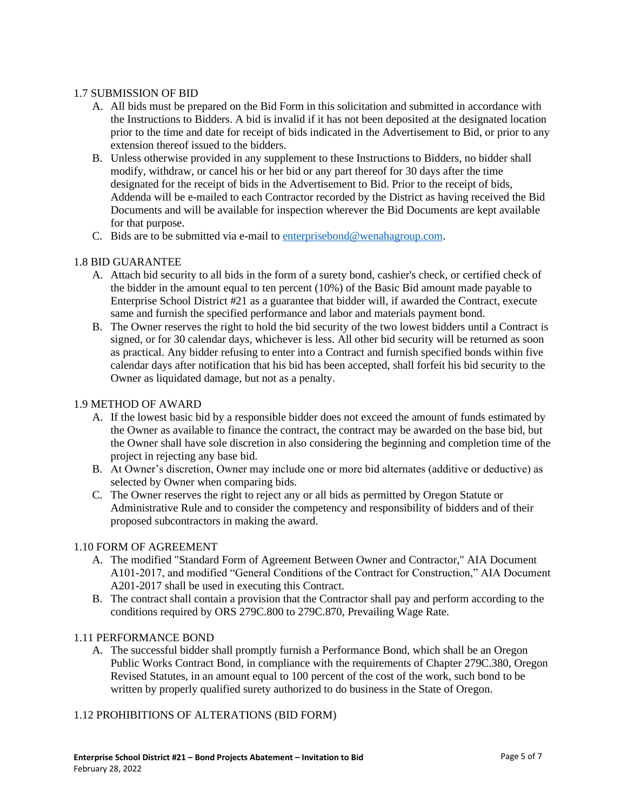# 1.7 SUBMISSION OF BID

- A. All bids must be prepared on the Bid Form in this solicitation and submitted in accordance with the Instructions to Bidders. A bid is invalid if it has not been deposited at the designated location prior to the time and date for receipt of bids indicated in the Advertisement to Bid, or prior to any extension thereof issued to the bidders.
- B. Unless otherwise provided in any supplement to these Instructions to Bidders, no bidder shall modify, withdraw, or cancel his or her bid or any part thereof for 30 days after the time designated for the receipt of bids in the Advertisement to Bid. Prior to the receipt of bids, Addenda will be e-mailed to each Contractor recorded by the District as having received the Bid Documents and will be available for inspection wherever the Bid Documents are kept available for that purpose.
- C. Bids are to be submitted via e-mail to [enterprisebond@wenahagroup.com.](mailto:enterprisebond@wenahagroup.com)

### 1.8 BID GUARANTEE

- A. Attach bid security to all bids in the form of a surety bond, cashier's check, or certified check of the bidder in the amount equal to ten percent (10%) of the Basic Bid amount made payable to Enterprise School District #21 as a guarantee that bidder will, if awarded the Contract, execute same and furnish the specified performance and labor and materials payment bond.
- B. The Owner reserves the right to hold the bid security of the two lowest bidders until a Contract is signed, or for 30 calendar days, whichever is less. All other bid security will be returned as soon as practical. Any bidder refusing to enter into a Contract and furnish specified bonds within five calendar days after notification that his bid has been accepted, shall forfeit his bid security to the Owner as liquidated damage, but not as a penalty.

#### 1.9 METHOD OF AWARD

- A. If the lowest basic bid by a responsible bidder does not exceed the amount of funds estimated by the Owner as available to finance the contract, the contract may be awarded on the base bid, but the Owner shall have sole discretion in also considering the beginning and completion time of the project in rejecting any base bid.
- B. At Owner's discretion, Owner may include one or more bid alternates (additive or deductive) as selected by Owner when comparing bids.
- C. The Owner reserves the right to reject any or all bids as permitted by Oregon Statute or Administrative Rule and to consider the competency and responsibility of bidders and of their proposed subcontractors in making the award.

# 1.10 FORM OF AGREEMENT

- A. The modified "Standard Form of Agreement Between Owner and Contractor," AIA Document A101-2017, and modified "General Conditions of the Contract for Construction," AIA Document A201-2017 shall be used in executing this Contract.
- B. The contract shall contain a provision that the Contractor shall pay and perform according to the conditions required by ORS 279C.800 to 279C.870, Prevailing Wage Rate.

### 1.11 PERFORMANCE BOND

A. The successful bidder shall promptly furnish a Performance Bond, which shall be an Oregon Public Works Contract Bond, in compliance with the requirements of Chapter 279C.380, Oregon Revised Statutes, in an amount equal to 100 percent of the cost of the work, such bond to be written by properly qualified surety authorized to do business in the State of Oregon.

# 1.12 PROHIBITIONS OF ALTERATIONS (BID FORM)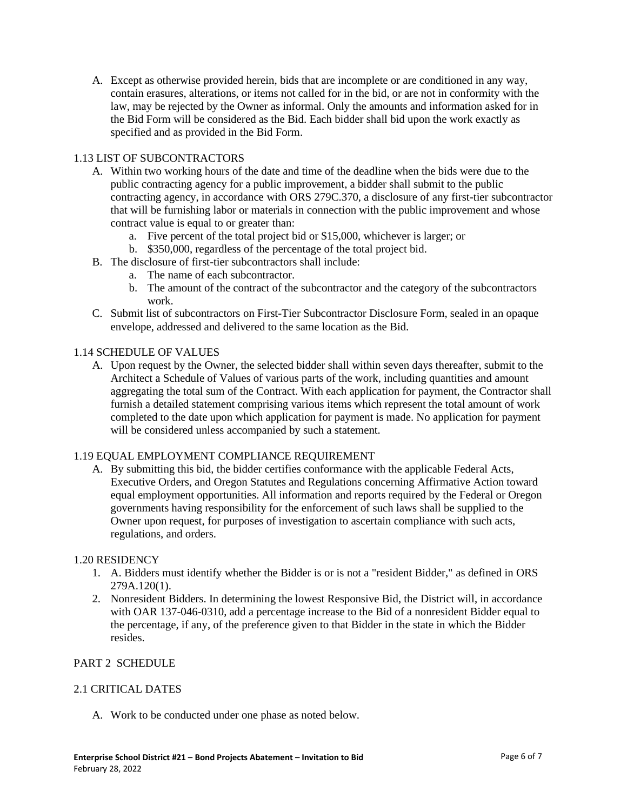A. Except as otherwise provided herein, bids that are incomplete or are conditioned in any way, contain erasures, alterations, or items not called for in the bid, or are not in conformity with the law, may be rejected by the Owner as informal. Only the amounts and information asked for in the Bid Form will be considered as the Bid. Each bidder shall bid upon the work exactly as specified and as provided in the Bid Form.

# 1.13 LIST OF SUBCONTRACTORS

- A. Within two working hours of the date and time of the deadline when the bids were due to the public contracting agency for a public improvement, a bidder shall submit to the public contracting agency, in accordance with ORS 279C.370, a disclosure of any first-tier subcontractor that will be furnishing labor or materials in connection with the public improvement and whose contract value is equal to or greater than:
	- a. Five percent of the total project bid or \$15,000, whichever is larger; or
	- b. \$350,000, regardless of the percentage of the total project bid.
- B. The disclosure of first-tier subcontractors shall include:
	- a. The name of each subcontractor.
	- b. The amount of the contract of the subcontractor and the category of the subcontractors work.
- C. Submit list of subcontractors on First-Tier Subcontractor Disclosure Form, sealed in an opaque envelope, addressed and delivered to the same location as the Bid.

### 1.14 SCHEDULE OF VALUES

A. Upon request by the Owner, the selected bidder shall within seven days thereafter, submit to the Architect a Schedule of Values of various parts of the work, including quantities and amount aggregating the total sum of the Contract. With each application for payment, the Contractor shall furnish a detailed statement comprising various items which represent the total amount of work completed to the date upon which application for payment is made. No application for payment will be considered unless accompanied by such a statement.

# 1.19 EQUAL EMPLOYMENT COMPLIANCE REQUIREMENT

A. By submitting this bid, the bidder certifies conformance with the applicable Federal Acts, Executive Orders, and Oregon Statutes and Regulations concerning Affirmative Action toward equal employment opportunities. All information and reports required by the Federal or Oregon governments having responsibility for the enforcement of such laws shall be supplied to the Owner upon request, for purposes of investigation to ascertain compliance with such acts, regulations, and orders.

# 1.20 RESIDENCY

- 1. A. Bidders must identify whether the Bidder is or is not a "resident Bidder," as defined in ORS 279A.120(1).
- 2. Nonresident Bidders. In determining the lowest Responsive Bid, the District will, in accordance with OAR 137-046-0310, add a percentage increase to the Bid of a nonresident Bidder equal to the percentage, if any, of the preference given to that Bidder in the state in which the Bidder resides.

#### PART 2 SCHEDULE

#### 2.1 CRITICAL DATES

A. Work to be conducted under one phase as noted below.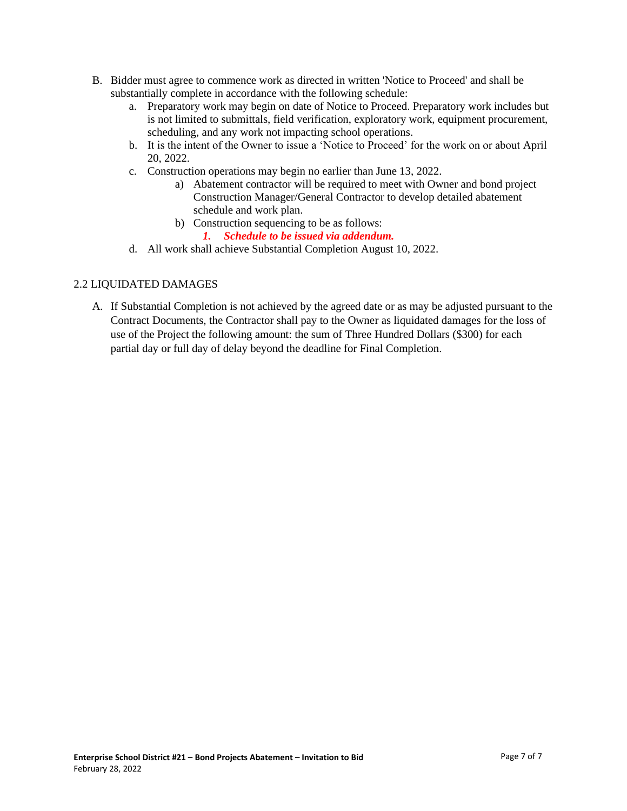- B. Bidder must agree to commence work as directed in written 'Notice to Proceed' and shall be substantially complete in accordance with the following schedule:
	- a. Preparatory work may begin on date of Notice to Proceed. Preparatory work includes but is not limited to submittals, field verification, exploratory work, equipment procurement, scheduling, and any work not impacting school operations.
	- b. It is the intent of the Owner to issue a 'Notice to Proceed' for the work on or about April 20, 2022.
	- c. Construction operations may begin no earlier than June 13, 2022.
		- a) Abatement contractor will be required to meet with Owner and bond project Construction Manager/General Contractor to develop detailed abatement schedule and work plan.
		- b) Construction sequencing to be as follows:

# *1. Schedule to be issued via addendum.*

d. All work shall achieve Substantial Completion August 10, 2022.

# 2.2 LIQUIDATED DAMAGES

A. If Substantial Completion is not achieved by the agreed date or as may be adjusted pursuant to the Contract Documents, the Contractor shall pay to the Owner as liquidated damages for the loss of use of the Project the following amount: the sum of Three Hundred Dollars (\$300) for each partial day or full day of delay beyond the deadline for Final Completion.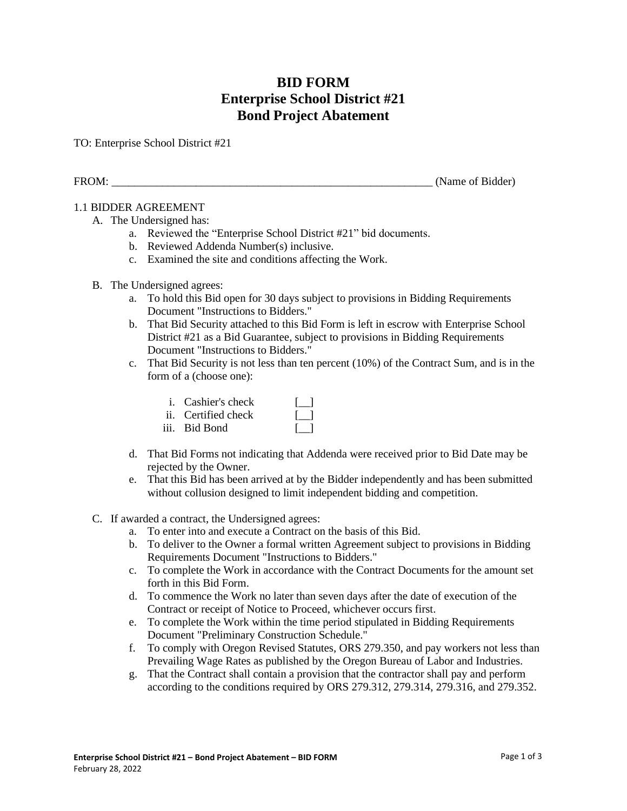# **BID FORM Enterprise School District #21 Bond Project Abatement**

TO: Enterprise School District #21

FROM: CONSERVERT EXAMPLE THE SERVERT EXAMPLE THE SERVERT EXAMPLE THE SERVERT EXAMPLE THE SERVERT EXAMPLE THE SERVERT EXAMPLE THE SERVERT EXAMPLE THE SERVERT EXAMPLE THE SERVERT EXAMPLE THE SERVERT EXAMPLE THE SERVERT EXAMP

### 1.1 BIDDER AGREEMENT

- A. The Undersigned has:
	- a. Reviewed the "Enterprise School District #21" bid documents.
	- b. Reviewed Addenda Number(s) inclusive.
	- c. Examined the site and conditions affecting the Work.
- B. The Undersigned agrees:
	- a. To hold this Bid open for 30 days subject to provisions in Bidding Requirements Document "Instructions to Bidders."
	- b. That Bid Security attached to this Bid Form is left in escrow with Enterprise School District #21 as a Bid Guarantee, subject to provisions in Bidding Requirements Document "Instructions to Bidders."
	- c. That Bid Security is not less than ten percent (10%) of the Contract Sum, and is in the form of a (choose one):
		- i. Cashier's check [\_]<br>ii. Certified check [\_]<br>ii. Bid Bond [\_] ii. Certified check
		- iii. Bid Bond
	- d. That Bid Forms not indicating that Addenda were received prior to Bid Date may be rejected by the Owner.
	- e. That this Bid has been arrived at by the Bidder independently and has been submitted without collusion designed to limit independent bidding and competition.
- C. If awarded a contract, the Undersigned agrees:
	- a. To enter into and execute a Contract on the basis of this Bid.
	- b. To deliver to the Owner a formal written Agreement subject to provisions in Bidding Requirements Document "Instructions to Bidders."
	- c. To complete the Work in accordance with the Contract Documents for the amount set forth in this Bid Form.
	- d. To commence the Work no later than seven days after the date of execution of the Contract or receipt of Notice to Proceed, whichever occurs first.
	- e. To complete the Work within the time period stipulated in Bidding Requirements Document "Preliminary Construction Schedule."
	- f. To comply with Oregon Revised Statutes, ORS 279.350, and pay workers not less than Prevailing Wage Rates as published by the Oregon Bureau of Labor and Industries.
	- g. That the Contract shall contain a provision that the contractor shall pay and perform according to the conditions required by ORS 279.312, 279.314, 279.316, and 279.352.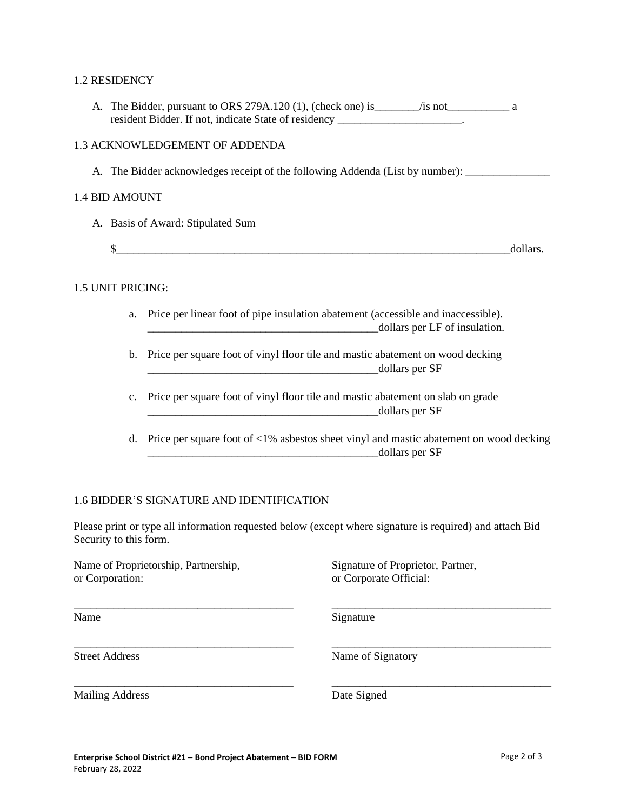### 1.2 RESIDENCY

|                                | A. The Bidder, pursuant to ORS 279A.120 (1), (check one) is _____________________<br>$\sqrt{3}$ not $\frac{a}{a}$<br>resident Bidder. If not, indicate State of residency ___________________________. |  |  |
|--------------------------------|--------------------------------------------------------------------------------------------------------------------------------------------------------------------------------------------------------|--|--|
| 1.3 ACKNOWLEDGEMENT OF ADDENDA |                                                                                                                                                                                                        |  |  |
|                                | A. The Bidder acknowledges receipt of the following Addenda (List by number):                                                                                                                          |  |  |
| 1.4 BID AMOUNT                 |                                                                                                                                                                                                        |  |  |
|                                | A. Basis of Award: Stipulated Sum                                                                                                                                                                      |  |  |

 $\S$  dollars.

# 1.5 UNIT PRICING:

- a. Price per linear foot of pipe insulation abatement (accessible and inaccessible). dollars per LF of insulation.
- b. Price per square foot of vinyl floor tile and mastic abatement on wood decking \_\_\_\_\_\_\_\_\_\_\_\_\_\_\_\_\_\_\_\_\_\_\_\_\_\_\_\_\_\_\_\_\_\_\_\_\_\_\_\_\_dollars per SF
- c. Price per square foot of vinyl floor tile and mastic abatement on slab on grade \_\_\_\_\_\_\_\_\_\_\_\_\_\_\_\_\_\_\_\_\_\_\_\_\_\_\_\_\_\_\_\_\_\_\_\_\_\_\_\_\_dollars per SF
- d. Price per square foot of <1% asbestos sheet vinyl and mastic abatement on wood decking \_\_\_\_\_\_\_\_\_\_\_\_\_\_\_\_\_\_\_\_\_\_\_\_\_\_\_\_\_\_\_\_\_\_\_\_\_\_\_\_\_dollars per SF

# 1.6 BIDDER'S SIGNATURE AND IDENTIFICATION

Please print or type all information requested below (except where signature is required) and attach Bid Security to this form.

\_\_\_\_\_\_\_\_\_\_\_\_\_\_\_\_\_\_\_\_\_\_\_\_\_\_\_\_\_\_\_\_\_\_\_\_\_\_\_ \_\_\_\_\_\_\_\_\_\_\_\_\_\_\_\_\_\_\_\_\_\_\_\_\_\_\_\_\_\_\_\_\_\_\_\_\_\_\_

\_\_\_\_\_\_\_\_\_\_\_\_\_\_\_\_\_\_\_\_\_\_\_\_\_\_\_\_\_\_\_\_\_\_\_\_\_\_\_ \_\_\_\_\_\_\_\_\_\_\_\_\_\_\_\_\_\_\_\_\_\_\_\_\_\_\_\_\_\_\_\_\_\_\_\_\_\_\_

Name of Proprietorship, Partnership, Signature of Proprietor, Partner, or Corporation: or Corporate Official:

Name Signature

\_\_\_\_\_\_\_\_\_\_\_\_\_\_\_\_\_\_\_\_\_\_\_\_\_\_\_\_\_\_\_\_\_\_\_\_\_\_\_ \_\_\_\_\_\_\_\_\_\_\_\_\_\_\_\_\_\_\_\_\_\_\_\_\_\_\_\_\_\_\_\_\_\_\_\_\_\_\_ Street Address Name of Signatory

Mailing Address Date Signed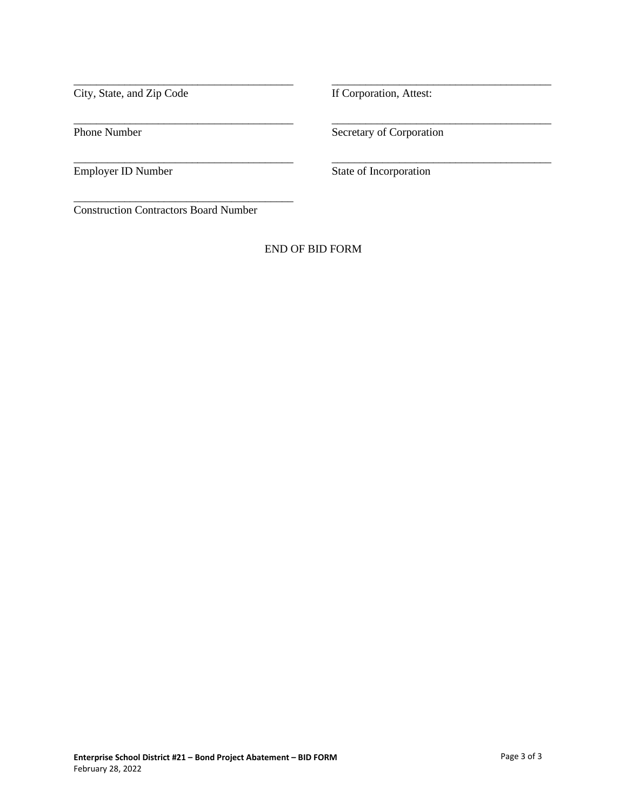City, State, and Zip Code If Corporation, Attest:

\_\_\_\_\_\_\_\_\_\_\_\_\_\_\_\_\_\_\_\_\_\_\_\_\_\_\_\_\_\_\_\_\_\_\_\_\_\_\_ \_\_\_\_\_\_\_\_\_\_\_\_\_\_\_\_\_\_\_\_\_\_\_\_\_\_\_\_\_\_\_\_\_\_\_\_\_\_\_ Phone Number Secretary of Corporation

\_\_\_\_\_\_\_\_\_\_\_\_\_\_\_\_\_\_\_\_\_\_\_\_\_\_\_\_\_\_\_\_\_\_\_\_\_\_\_ \_\_\_\_\_\_\_\_\_\_\_\_\_\_\_\_\_\_\_\_\_\_\_\_\_\_\_\_\_\_\_\_\_\_\_\_\_\_\_ Employer ID Number State of Incorporation

Construction Contractors Board Number

\_\_\_\_\_\_\_\_\_\_\_\_\_\_\_\_\_\_\_\_\_\_\_\_\_\_\_\_\_\_\_\_\_\_\_\_\_\_\_

END OF BID FORM

\_\_\_\_\_\_\_\_\_\_\_\_\_\_\_\_\_\_\_\_\_\_\_\_\_\_\_\_\_\_\_\_\_\_\_\_\_\_\_ \_\_\_\_\_\_\_\_\_\_\_\_\_\_\_\_\_\_\_\_\_\_\_\_\_\_\_\_\_\_\_\_\_\_\_\_\_\_\_